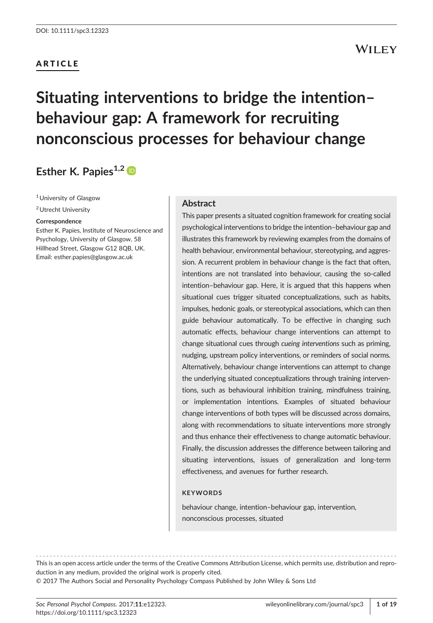### ARTICLE

# Situating interventions to bridge the intention– behaviour gap: A framework for recruiting nonconscious processes for behaviour change

### Esther K. Papies $^{1,2}$

<sup>1</sup> University of Glasgow

2Utrecht University

#### Correspondence

Esther K. Papies, Institute of Neuroscience and Psychology, University of Glasgow, 58 Hillhead Street, Glasgow G12 8QB, UK. Email: [esther.papies@glasgow.ac.uk](mailto:esther.papies@glasgow.ac.uk)

#### Abstract

This paper presents a situated cognition framework for creating social psychological interventions to bridge the intention–behaviour gap and illustrates this framework by reviewing examples from the domains of health behaviour, environmental behaviour, stereotyping, and aggression. A recurrent problem in behaviour change is the fact that often, intentions are not translated into behaviour, causing the so-called intention–behaviour gap. Here, it is argued that this happens when situational cues trigger situated conceptualizations, such as habits, impulses, hedonic goals, or stereotypical associations, which can then guide behaviour automatically. To be effective in changing such automatic effects, behaviour change interventions can attempt to change situational cues through cueing interventions such as priming, nudging, upstream policy interventions, or reminders of social norms. Alternatively, behaviour change interventions can attempt to change the underlying situated conceptualizations through training interventions, such as behavioural inhibition training, mindfulness training, or implementation intentions. Examples of situated behaviour change interventions of both types will be discussed across domains, along with recommendations to situate interventions more strongly and thus enhance their effectiveness to change automatic behaviour. Finally, the discussion addresses the difference between tailoring and situating interventions, issues of generalization and long-term effectiveness, and avenues for further research.

#### **KEYWORDS**

behaviour change, intention–behaviour gap, intervention, nonconscious processes, situated

------------------------------------------------------------------------------------------------------- This is an open access article under the terms of the [Creative Commons Attribution](http://creativecommons.org/licenses/by/4.0/) License, which permits use, distribution and reproduction in any medium, provided the original work is properly cited.

© 2017 The Authors Social and Personality Psychology Compass Published by John Wiley & Sons Ltd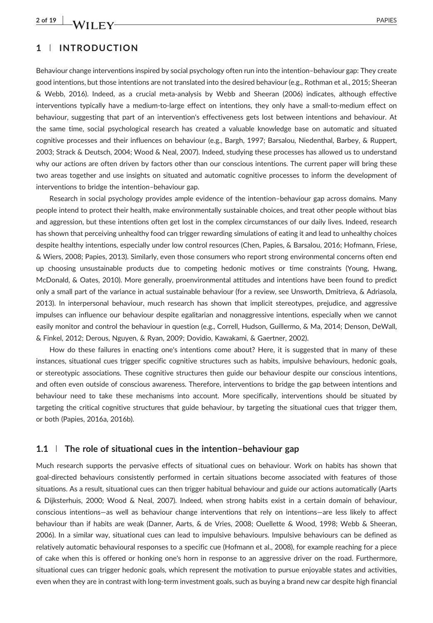$2$  of 19  $\mu$  M/H  $\mu$ 

#### 1 | INTRODUCTION

Behaviour change interventions inspired by social psychology often run into the intention–behaviour gap: They create good intentions, but those intentions are not translated into the desired behaviour (e.g., Rothman et al., 2015; Sheeran & Webb, 2016). Indeed, as a crucial meta‐analysis by Webb and Sheeran (2006) indicates, although effective interventions typically have a medium‐to‐large effect on intentions, they only have a small‐to‐medium effect on behaviour, suggesting that part of an intervention's effectiveness gets lost between intentions and behaviour. At the same time, social psychological research has created a valuable knowledge base on automatic and situated cognitive processes and their influences on behaviour (e.g., Bargh, 1997; Barsalou, Niedenthal, Barbey, & Ruppert, 2003; Strack & Deutsch, 2004; Wood & Neal, 2007). Indeed, studying these processes has allowed us to understand why our actions are often driven by factors other than our conscious intentions. The current paper will bring these two areas together and use insights on situated and automatic cognitive processes to inform the development of interventions to bridge the intention–behaviour gap.

Research in social psychology provides ample evidence of the intention–behaviour gap across domains. Many people intend to protect their health, make environmentally sustainable choices, and treat other people without bias and aggression, but these intentions often get lost in the complex circumstances of our daily lives. Indeed, research has shown that perceiving unhealthy food can trigger rewarding simulations of eating it and lead to unhealthy choices despite healthy intentions, especially under low control resources (Chen, Papies, & Barsalou, 2016; Hofmann, Friese, & Wiers, 2008; Papies, 2013). Similarly, even those consumers who report strong environmental concerns often end up choosing unsustainable products due to competing hedonic motives or time constraints (Young, Hwang, McDonald, & Oates, 2010). More generally, proenvironmental attitudes and intentions have been found to predict only a small part of the variance in actual sustainable behaviour (for a review, see Unsworth, Dmitrieva, & Adriasola, 2013). In interpersonal behaviour, much research has shown that implicit stereotypes, prejudice, and aggressive impulses can influence our behaviour despite egalitarian and nonaggressive intentions, especially when we cannot easily monitor and control the behaviour in question (e.g., Correll, Hudson, Guillermo, & Ma, 2014; Denson, DeWall, & Finkel, 2012; Derous, Nguyen, & Ryan, 2009; Dovidio, Kawakami, & Gaertner, 2002).

How do these failures in enacting one's intentions come about? Here, it is suggested that in many of these instances, situational cues trigger specific cognitive structures such as habits, impulsive behaviours, hedonic goals, or stereotypic associations. These cognitive structures then guide our behaviour despite our conscious intentions, and often even outside of conscious awareness. Therefore, interventions to bridge the gap between intentions and behaviour need to take these mechanisms into account. More specifically, interventions should be situated by targeting the critical cognitive structures that guide behaviour, by targeting the situational cues that trigger them, or both (Papies, 2016a, 2016b).

#### $1.1$  | The role of situational cues in the intention-behaviour gap

Much research supports the pervasive effects of situational cues on behaviour. Work on habits has shown that goal‐directed behaviours consistently performed in certain situations become associated with features of those situations. As a result, situational cues can then trigger habitual behaviour and guide our actions automatically (Aarts & Dijksterhuis, 2000; Wood & Neal, 2007). Indeed, when strong habits exist in a certain domain of behaviour, conscious intentions—as well as behaviour change interventions that rely on intentions—are less likely to affect behaviour than if habits are weak (Danner, Aarts, & de Vries, 2008; Ouellette & Wood, 1998; Webb & Sheeran, 2006). In a similar way, situational cues can lead to impulsive behaviours. Impulsive behaviours can be defined as relatively automatic behavioural responses to a specific cue (Hofmann et al., 2008), for example reaching for a piece of cake when this is offered or honking one's horn in response to an aggressive driver on the road. Furthermore, situational cues can trigger hedonic goals, which represent the motivation to pursue enjoyable states and activities, even when they are in contrast with long-term investment goals, such as buying a brand new car despite high financial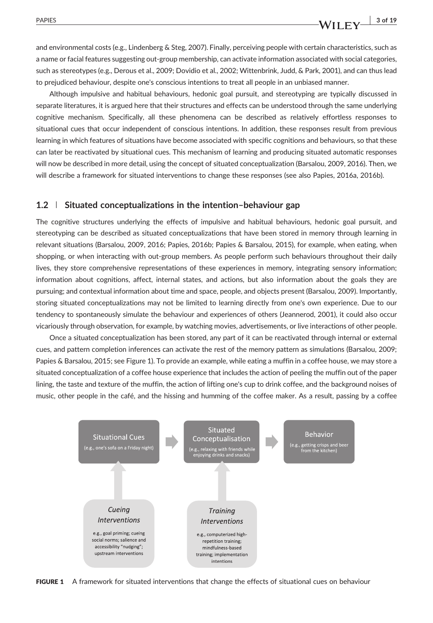and environmental costs (e.g., Lindenberg & Steg, 2007). Finally, perceiving people with certain characteristics, such as a name or facial features suggesting out‐group membership, can activate information associated with social categories, such as stereotypes (e.g., Derous et al., 2009; Dovidio et al., 2002; Wittenbrink, Judd, & Park, 2001), and can thus lead to prejudiced behaviour, despite one's conscious intentions to treat all people in an unbiased manner.

Although impulsive and habitual behaviours, hedonic goal pursuit, and stereotyping are typically discussed in separate literatures, it is argued here that their structures and effects can be understood through the same underlying cognitive mechanism. Specifically, all these phenomena can be described as relatively effortless responses to situational cues that occur independent of conscious intentions. In addition, these responses result from previous learning in which features of situations have become associated with specific cognitions and behaviours, so that these can later be reactivated by situational cues. This mechanism of learning and producing situated automatic responses will now be described in more detail, using the concept of situated conceptualization (Barsalou, 2009, 2016). Then, we will describe a framework for situated interventions to change these responses (see also Papies, 2016a, 2016b).

#### 1.2 | Situated conceptualizations in the intention–behaviour gap

The cognitive structures underlying the effects of impulsive and habitual behaviours, hedonic goal pursuit, and stereotyping can be described as situated conceptualizations that have been stored in memory through learning in relevant situations (Barsalou, 2009, 2016; Papies, 2016b; Papies & Barsalou, 2015), for example, when eating, when shopping, or when interacting with out‐group members. As people perform such behaviours throughout their daily lives, they store comprehensive representations of these experiences in memory, integrating sensory information; information about cognitions, affect, internal states, and actions, but also information about the goals they are pursuing; and contextual information about time and space, people, and objects present (Barsalou, 2009). Importantly, storing situated conceptualizations may not be limited to learning directly from one's own experience. Due to our tendency to spontaneously simulate the behaviour and experiences of others (Jeannerod, 2001), it could also occur vicariously through observation, for example, by watching movies, advertisements, or live interactions of other people.

Once a situated conceptualization has been stored, any part of it can be reactivated through internal or external cues, and pattern completion inferences can activate the rest of the memory pattern as simulations (Barsalou, 2009; Papies & Barsalou, 2015; see Figure 1). To provide an example, while eating a muffin in a coffee house, we may store a situated conceptualization of a coffee house experience that includes the action of peeling the muffin out of the paper lining, the taste and texture of the muffin, the action of lifting one's cup to drink coffee, and the background noises of music, other people in the café, and the hissing and humming of the coffee maker. As a result, passing by a coffee



**FIGURE 1** A framework for situated interventions that change the effects of situational cues on behaviour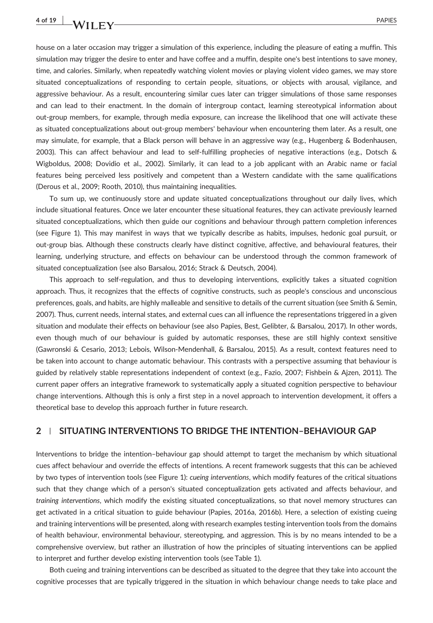house on a later occasion may trigger a simulation of this experience, including the pleasure of eating a muffin. This simulation may trigger the desire to enter and have coffee and a muffin, despite one's best intentions to save money, time, and calories. Similarly, when repeatedly watching violent movies or playing violent video games, we may store situated conceptualizations of responding to certain people, situations, or objects with arousal, vigilance, and aggressive behaviour. As a result, encountering similar cues later can trigger simulations of those same responses and can lead to their enactment. In the domain of intergroup contact, learning stereotypical information about out‐group members, for example, through media exposure, can increase the likelihood that one will activate these as situated conceptualizations about out‐group members' behaviour when encountering them later. As a result, one may simulate, for example, that a Black person will behave in an aggressive way (e.g., Hugenberg & Bodenhausen, 2003). This can affect behaviour and lead to self‐fulfilling prophecies of negative interactions (e.g., Dotsch & Wigboldus, 2008; Dovidio et al., 2002). Similarly, it can lead to a job applicant with an Arabic name or facial features being perceived less positively and competent than a Western candidate with the same qualifications (Derous et al., 2009; Rooth, 2010), thus maintaining inequalities.

To sum up, we continuously store and update situated conceptualizations throughout our daily lives, which include situational features. Once we later encounter these situational features, they can activate previously learned situated conceptualizations, which then guide our cognitions and behaviour through pattern completion inferences (see Figure 1). This may manifest in ways that we typically describe as habits, impulses, hedonic goal pursuit, or out‐group bias. Although these constructs clearly have distinct cognitive, affective, and behavioural features, their learning, underlying structure, and effects on behaviour can be understood through the common framework of situated conceptualization (see also Barsalou, 2016; Strack & Deutsch, 2004).

This approach to self-regulation, and thus to developing interventions, explicitly takes a situated cognition approach. Thus, it recognizes that the effects of cognitive constructs, such as people's conscious and unconscious preferences, goals, and habits, are highly malleable and sensitive to details of the current situation (see Smith & Semin, 2007). Thus, current needs, internal states, and external cues can all influence the representations triggered in a given situation and modulate their effects on behaviour (see also Papies, Best, Gelibter, & Barsalou, 2017). In other words, even though much of our behaviour is guided by automatic responses, these are still highly context sensitive (Gawronski & Cesario, 2013; Lebois, Wilson‐Mendenhall, & Barsalou, 2015). As a result, context features need to be taken into account to change automatic behaviour. This contrasts with a perspective assuming that behaviour is guided by relatively stable representations independent of context (e.g., Fazio, 2007; Fishbein & Ajzen, 2011). The current paper offers an integrative framework to systematically apply a situated cognition perspective to behaviour change interventions. Although this is only a first step in a novel approach to intervention development, it offers a theoretical base to develop this approach further in future research.

#### 2 | SITUATING INTERVENTIONS TO BRIDGE THE INTENTION–BEHAVIOUR GAP

Interventions to bridge the intention–behaviour gap should attempt to target the mechanism by which situational cues affect behaviour and override the effects of intentions. A recent framework suggests that this can be achieved by two types of intervention tools (see Figure 1): cueing interventions, which modify features of the critical situations such that they change which of a person's situated conceptualization gets activated and affects behaviour, and training interventions, which modify the existing situated conceptualizations, so that novel memory structures can get activated in a critical situation to guide behaviour (Papies, 2016a, 2016b). Here, a selection of existing cueing and training interventions will be presented, along with research examples testing intervention tools from the domains of health behaviour, environmental behaviour, stereotyping, and aggression. This is by no means intended to be a comprehensive overview, but rather an illustration of how the principles of situating interventions can be applied to interpret and further develop existing intervention tools (see Table 1).

Both cueing and training interventions can be described as situated to the degree that they take into account the cognitive processes that are typically triggered in the situation in which behaviour change needs to take place and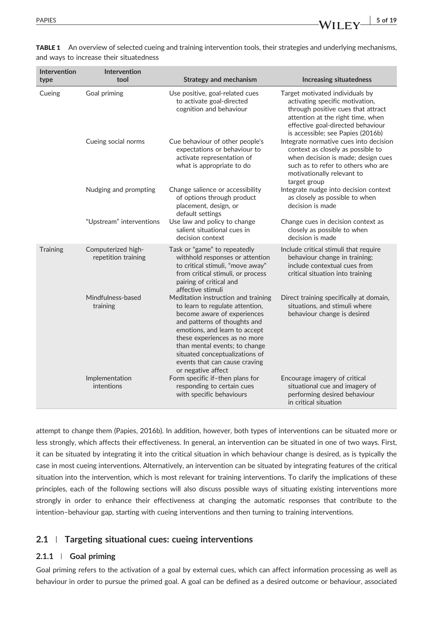| Intervention<br>type | Intervention<br>tool                      | <b>Strategy and mechanism</b>                                                                                                                                                                                                                                                                                                    | <b>Increasing situatedness</b>                                                                                                                                                                                          |
|----------------------|-------------------------------------------|----------------------------------------------------------------------------------------------------------------------------------------------------------------------------------------------------------------------------------------------------------------------------------------------------------------------------------|-------------------------------------------------------------------------------------------------------------------------------------------------------------------------------------------------------------------------|
| Cueing               | Goal priming                              | Use positive, goal-related cues<br>to activate goal-directed<br>cognition and behaviour                                                                                                                                                                                                                                          | Target motivated individuals by<br>activating specific motivation,<br>through positive cues that attract<br>attention at the right time, when<br>effective goal-directed behaviour<br>is accessible; see Papies (2016b) |
|                      | Cueing social norms                       | Cue behaviour of other people's<br>expectations or behaviour to<br>activate representation of<br>what is appropriate to do                                                                                                                                                                                                       | Integrate normative cues into decision<br>context as closely as possible to<br>when decision is made; design cues<br>such as to refer to others who are<br>motivationally relevant to<br>target group                   |
|                      | Nudging and prompting                     | Change salience or accessibility<br>of options through product<br>placement, design, or<br>default settings                                                                                                                                                                                                                      | Integrate nudge into decision context<br>as closely as possible to when<br>decision is made                                                                                                                             |
|                      | "Upstream" interventions                  | Use law and policy to change<br>salient situational cues in<br>decision context                                                                                                                                                                                                                                                  | Change cues in decision context as<br>closely as possible to when<br>decision is made                                                                                                                                   |
| Training             | Computerized high-<br>repetition training | Task or "game" to repeatedly<br>withhold responses or attention<br>to critical stimuli, "move away"<br>from critical stimuli, or process<br>pairing of critical and<br>affective stimuli                                                                                                                                         | Include critical stimuli that require<br>behaviour change in training;<br>include contextual cues from<br>critical situation into training                                                                              |
|                      | Mindfulness-based<br>training             | Meditation instruction and training<br>to learn to regulate attention,<br>become aware of experiences<br>and patterns of thoughts and<br>emotions, and learn to accept<br>these experiences as no more<br>than mental events; to change<br>situated conceptualizations of<br>events that can cause craving<br>or negative affect | Direct training specifically at domain,<br>situations, and stimuli where<br>behaviour change is desired                                                                                                                 |
|                      | Implementation<br>intentions              | Form specific if-then plans for<br>responding to certain cues<br>with specific behaviours                                                                                                                                                                                                                                        | Encourage imagery of critical<br>situational cue and imagery of<br>performing desired behaviour<br>in critical situation                                                                                                |

TABLE 1 An overview of selected cueing and training intervention tools, their strategies and underlying mechanisms, and ways to increase their situatedness

attempt to change them (Papies, 2016b). In addition, however, both types of interventions can be situated more or less strongly, which affects their effectiveness. In general, an intervention can be situated in one of two ways. First, it can be situated by integrating it into the critical situation in which behaviour change is desired, as is typically the case in most cueing interventions. Alternatively, an intervention can be situated by integrating features of the critical situation into the intervention, which is most relevant for training interventions. To clarify the implications of these principles, each of the following sections will also discuss possible ways of situating existing interventions more strongly in order to enhance their effectiveness at changing the automatic responses that contribute to the intention–behaviour gap, starting with cueing interventions and then turning to training interventions.

#### 2.1 | Targeting situational cues: cueing interventions

#### 2.1.1 | Goal priming

Goal priming refers to the activation of a goal by external cues, which can affect information processing as well as behaviour in order to pursue the primed goal. A goal can be defined as a desired outcome or behaviour, associated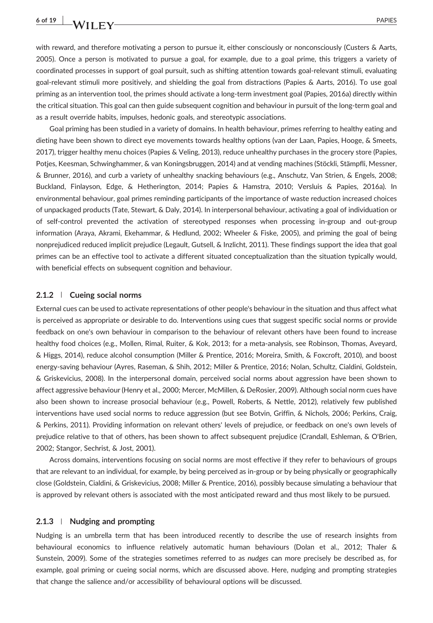with reward, and therefore motivating a person to pursue it, either consciously or nonconsciously (Custers & Aarts, 2005). Once a person is motivated to pursue a goal, for example, due to a goal prime, this triggers a variety of coordinated processes in support of goal pursuit, such as shifting attention towards goal‐relevant stimuli, evaluating goal‐relevant stimuli more positively, and shielding the goal from distractions (Papies & Aarts, 2016). To use goal priming as an intervention tool, the primes should activate a long-term investment goal (Papies, 2016a) directly within the critical situation. This goal can then guide subsequent cognition and behaviour in pursuit of the long-term goal and as a result override habits, impulses, hedonic goals, and stereotypic associations.

Goal priming has been studied in a variety of domains. In health behaviour, primes referring to healthy eating and dieting have been shown to direct eye movements towards healthy options (van der Laan, Papies, Hooge, & Smeets, 2017), trigger healthy menu choices (Papies & Veling, 2013), reduce unhealthy purchases in the grocery store (Papies, Potjes, Keesman, Schwinghammer, & van Koningsbruggen, 2014) and at vending machines (Stöckli, Stämpfli, Messner, & Brunner, 2016), and curb a variety of unhealthy snacking behaviours (e.g., Anschutz, Van Strien, & Engels, 2008; Buckland, Finlayson, Edge, & Hetherington, 2014; Papies & Hamstra, 2010; Versluis & Papies, 2016a). In environmental behaviour, goal primes reminding participants of the importance of waste reduction increased choices of unpackaged products (Tate, Stewart, & Daly, 2014). In interpersonal behaviour, activating a goal of individuation or of self‐control prevented the activation of stereotyped responses when processing in‐group and out‐group information (Araya, Akrami, Ekehammar, & Hedlund, 2002; Wheeler & Fiske, 2005), and priming the goal of being nonprejudiced reduced implicit prejudice (Legault, Gutsell, & Inzlicht, 2011). These findings support the idea that goal primes can be an effective tool to activate a different situated conceptualization than the situation typically would, with beneficial effects on subsequent cognition and behaviour.

#### 2.1.2 | Cueing social norms

External cues can be used to activate representations of other people's behaviour in the situation and thus affect what is perceived as appropriate or desirable to do. Interventions using cues that suggest specific social norms or provide feedback on one's own behaviour in comparison to the behaviour of relevant others have been found to increase healthy food choices (e.g., Mollen, Rimal, Ruiter, & Kok, 2013; for a meta-analysis, see Robinson, Thomas, Aveyard, & Higgs, 2014), reduce alcohol consumption (Miller & Prentice, 2016; Moreira, Smith, & Foxcroft, 2010), and boost energy‐saving behaviour (Ayres, Raseman, & Shih, 2012; Miller & Prentice, 2016; Nolan, Schultz, Cialdini, Goldstein, & Griskevicius, 2008). In the interpersonal domain, perceived social norms about aggression have been shown to affect aggressive behaviour (Henry et al., 2000; Mercer, McMillen, & DeRosier, 2009). Although social norm cues have also been shown to increase prosocial behaviour (e.g., Powell, Roberts, & Nettle, 2012), relatively few published interventions have used social norms to reduce aggression (but see Botvin, Griffin, & Nichols, 2006; Perkins, Craig, & Perkins, 2011). Providing information on relevant others' levels of prejudice, or feedback on one's own levels of prejudice relative to that of others, has been shown to affect subsequent prejudice (Crandall, Eshleman, & O'Brien, 2002; Stangor, Sechrist, & Jost, 2001).

Across domains, interventions focusing on social norms are most effective if they refer to behaviours of groups that are relevant to an individual, for example, by being perceived as in‐group or by being physically or geographically close (Goldstein, Cialdini, & Griskevicius, 2008; Miller & Prentice, 2016), possibly because simulating a behaviour that is approved by relevant others is associated with the most anticipated reward and thus most likely to be pursued.

#### 2.1.3 | Nudging and prompting

Nudging is an umbrella term that has been introduced recently to describe the use of research insights from behavioural economics to influence relatively automatic human behaviours (Dolan et al., 2012; Thaler & Sunstein, 2009). Some of the strategies sometimes referred to as nudges can more precisely be described as, for example, goal priming or cueing social norms, which are discussed above. Here, nudging and prompting strategies that change the salience and/or accessibility of behavioural options will be discussed.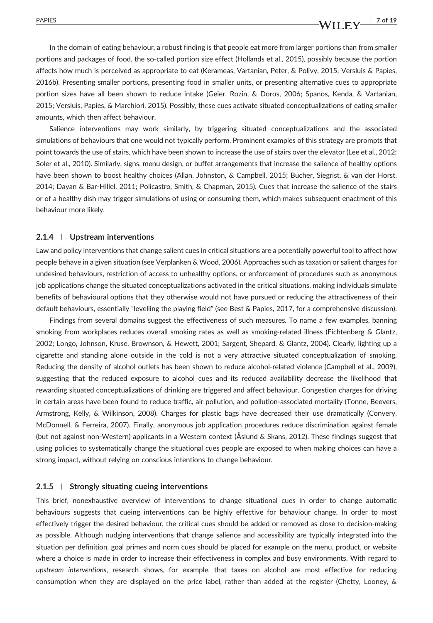In the domain of eating behaviour, a robust finding is that people eat more from larger portions than from smaller portions and packages of food, the so‐called portion size effect (Hollands et al., 2015), possibly because the portion affects how much is perceived as appropriate to eat (Kerameas, Vartanian, Peter, & Polivy, 2015; Versluis & Papies, 2016b). Presenting smaller portions, presenting food in smaller units, or presenting alternative cues to appropriate portion sizes have all been shown to reduce intake (Geier, Rozin, & Doros, 2006; Spanos, Kenda, & Vartanian, 2015; Versluis, Papies, & Marchiori, 2015). Possibly, these cues activate situated conceptualizations of eating smaller amounts, which then affect behaviour.

Salience interventions may work similarly, by triggering situated conceptualizations and the associated simulations of behaviours that one would not typically perform. Prominent examples of this strategy are prompts that point towards the use of stairs, which have been shown to increase the use of stairs over the elevator (Lee et al., 2012; Soler et al., 2010). Similarly, signs, menu design, or buffet arrangements that increase the salience of healthy options have been shown to boost healthy choices (Allan, Johnston, & Campbell, 2015; Bucher, Siegrist, & van der Horst, 2014; Dayan & Bar‐Hillel, 2011; Policastro, Smith, & Chapman, 2015). Cues that increase the salience of the stairs or of a healthy dish may trigger simulations of using or consuming them, which makes subsequent enactment of this behaviour more likely.

#### 2.1.4 | Upstream interventions

Law and policy interventions that change salient cues in critical situations are a potentially powerful tool to affect how people behave in a given situation (see Verplanken & Wood, 2006). Approaches such as taxation or salient charges for undesired behaviours, restriction of access to unhealthy options, or enforcement of procedures such as anonymous job applications change the situated conceptualizations activated in the critical situations, making individuals simulate benefits of behavioural options that they otherwise would not have pursued or reducing the attractiveness of their default behaviours, essentially "levelling the playing field" (see Best & Papies, 2017, for a comprehensive discussion).

Findings from several domains suggest the effectiveness of such measures. To name a few examples, banning smoking from workplaces reduces overall smoking rates as well as smoking-related illness (Fichtenberg & Glantz, 2002; Longo, Johnson, Kruse, Brownson, & Hewett, 2001; Sargent, Shepard, & Glantz, 2004). Clearly, lighting up a cigarette and standing alone outside in the cold is not a very attractive situated conceptualization of smoking. Reducing the density of alcohol outlets has been shown to reduce alcohol-related violence (Campbell et al., 2009), suggesting that the reduced exposure to alcohol cues and its reduced availability decrease the likelihood that rewarding situated conceptualizations of drinking are triggered and affect behaviour. Congestion charges for driving in certain areas have been found to reduce traffic, air pollution, and pollution-associated mortality (Tonne, Beevers, Armstrong, Kelly, & Wilkinson, 2008). Charges for plastic bags have decreased their use dramatically (Convery, McDonnell, & Ferreira, 2007). Finally, anonymous job application procedures reduce discrimination against female (but not against non‐Western) applicants in a Western context (Åslund & Skans, 2012). These findings suggest that using policies to systematically change the situational cues people are exposed to when making choices can have a strong impact, without relying on conscious intentions to change behaviour.

#### 2.1.5 | Strongly situating cueing interventions

This brief, nonexhaustive overview of interventions to change situational cues in order to change automatic behaviours suggests that cueing interventions can be highly effective for behaviour change. In order to most effectively trigger the desired behaviour, the critical cues should be added or removed as close to decision‐making as possible. Although nudging interventions that change salience and accessibility are typically integrated into the situation per definition, goal primes and norm cues should be placed for example on the menu, product, or website where a choice is made in order to increase their effectiveness in complex and busy environments. With regard to upstream interventions, research shows, for example, that taxes on alcohol are most effective for reducing consumption when they are displayed on the price label, rather than added at the register (Chetty, Looney, &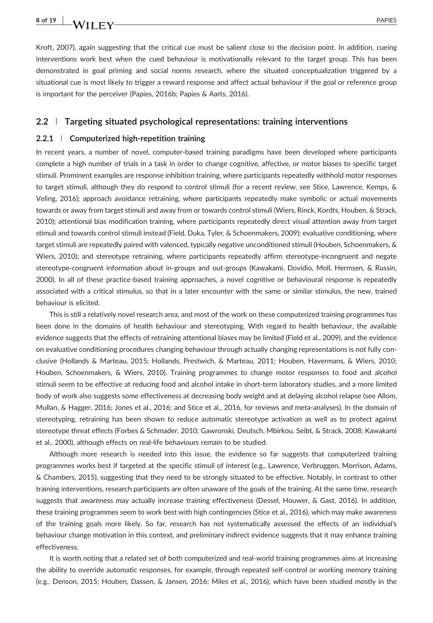Kroft, 2007), again suggesting that the critical cue must be salient close to the decision point. In addition, cueing interventions work best when the cued behaviour is motivationally relevant to the target group. This has been demonstrated in goal priming and social norms research, where the situated conceptualization triggered by a situational cue is most likely to trigger a reward response and affect actual behaviour if the goal or reference group is important for the perceiver (Papies, 2016b; Papies & Aarts, 2016).

#### 2.2 | Targeting situated psychological representations: training interventions

#### 2.2.1 | Computerized high‐repetition training

In recent years, a number of novel, computer-based training paradigms have been developed where participants complete a high number of trials in a task in order to change cognitive, affective, or motor biases to specific target stimuli. Prominent examples are response inhibition training, where participants repeatedly withhold motor responses to target stimuli, although they do respond to control stimuli (for a recent review, see Stice, Lawrence, Kemps, & Veling, 2016); approach avoidance retraining, where participants repeatedly make symbolic or actual movements towards or away from target stimuli and away from or towards control stimuli (Wiers, Rinck, Kordts, Houben, & Strack, 2010); attentional bias modification training, where participants repeatedly direct visual attention away from target stimuli and towards control stimuli instead (Field, Duka, Tyler, & Schoenmakers, 2009); evaluative conditioning, where target stimuli are repeatedly paired with valenced, typically negative unconditioned stimuli (Houben, Schoenmakers, & Wiers, 2010); and stereotype retraining, where participants repeatedly affirm stereotype-incongruent and negate stereotype‐congruent information about in‐groups and out‐groups (Kawakami, Dovidio, Moll, Hermsen, & Russin, 2000). In all of these practice‐based training approaches, a novel cognitive or behavioural response is repeatedly associated with a critical stimulus, so that in a later encounter with the same or similar stimulus, the new, trained behaviour is elicited.

This is still a relatively novel research area, and most of the work on these computerized training programmes has been done in the domains of health behaviour and stereotyping. With regard to health behaviour, the available evidence suggests that the effects of retraining attentional biases may be limited (Field et al., 2009), and the evidence on evaluative conditioning procedures changing behaviour through actually changing representations is not fully conclusive (Hollands & Marteau, 2015; Hollands, Prestwich, & Marteau, 2011; Houben, Havermans, & Wiers, 2010; Houben, Schoenmakers, & Wiers, 2010). Training programmes to change motor responses to food and alcohol stimuli seem to be effective at reducing food and alcohol intake in short-term laboratory studies, and a more limited body of work also suggests some effectiveness at decreasing body weight and at delaying alcohol relapse (see Allom, Mullan, & Hagger, 2016; Jones et al., 2016; and Stice et al., 2016, for reviews and meta-analyses). In the domain of stereotyping, retraining has been shown to reduce automatic stereotype activation as well as to protect against stereotype threat effects (Forbes & Schmader, 2010; Gawronski, Deutsch, Mbirkou, Seibt, & Strack, 2008; Kawakami et al., 2000), although effects on real‐life behaviours remain to be studied.

Although more research is needed into this issue, the evidence so far suggests that computerized training programmes works best if targeted at the specific stimuli of interest (e.g., Lawrence, Verbruggen, Morrison, Adams, & Chambers, 2015), suggesting that they need to be strongly situated to be effective. Notably, in contrast to other training interventions, research participants are often unaware of the goals of the training. At the same time, research suggests that awareness may actually increase training effectiveness (Dessel, Houwer, & Gast, 2016). In addition, these training programmes seem to work best with high contingencies (Stice et al., 2016), which may make awareness of the training goals more likely. So far, research has not systematically assessed the effects of an individual's behaviour change motivation in this context, and preliminary indirect evidence suggests that it may enhance training effectiveness.

It is worth noting that a related set of both computerized and real‐world training programmes aims at increasing the ability to override automatic responses, for example, through repeated self‐control or working memory training (e.g., Denson, 2015; Houben, Dassen, & Jansen, 2016; Miles et al., 2016), which have been studied mostly in the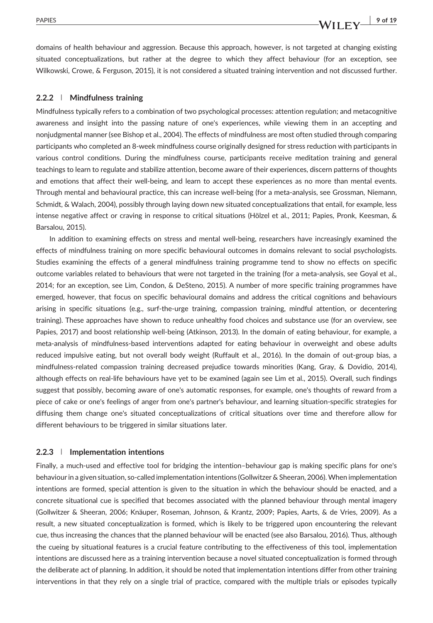domains of health behaviour and aggression. Because this approach, however, is not targeted at changing existing situated conceptualizations, but rather at the degree to which they affect behaviour (for an exception, see Wilkowski, Crowe, & Ferguson, 2015), it is not considered a situated training intervention and not discussed further.

#### 2.2.2 | Mindfulness training

Mindfulness typically refers to a combination of two psychological processes: attention regulation; and metacognitive awareness and insight into the passing nature of one's experiences, while viewing them in an accepting and nonjudgmental manner (see Bishop et al., 2004). The effects of mindfulness are most often studied through comparing participants who completed an 8‐week mindfulness course originally designed for stress reduction with participants in various control conditions. During the mindfulness course, participants receive meditation training and general teachings to learn to regulate and stabilize attention, become aware of their experiences, discern patterns of thoughts and emotions that affect their well‐being, and learn to accept these experiences as no more than mental events. Through mental and behavioural practice, this can increase well‐being (for a meta‐analysis, see Grossman, Niemann, Schmidt, & Walach, 2004), possibly through laying down new situated conceptualizations that entail, for example, less intense negative affect or craving in response to critical situations (Hölzel et al., 2011; Papies, Pronk, Keesman, & Barsalou, 2015).

In addition to examining effects on stress and mental well-being, researchers have increasingly examined the effects of mindfulness training on more specific behavioural outcomes in domains relevant to social psychologists. Studies examining the effects of a general mindfulness training programme tend to show no effects on specific outcome variables related to behaviours that were not targeted in the training (for a meta‐analysis, see Goyal et al., 2014; for an exception, see Lim, Condon, & DeSteno, 2015). A number of more specific training programmes have emerged, however, that focus on specific behavioural domains and address the critical cognitions and behaviours arising in specific situations (e.g., surf-the-urge training, compassion training, mindful attention, or decentering training). These approaches have shown to reduce unhealthy food choices and substance use (for an overview, see Papies, 2017) and boost relationship well-being (Atkinson, 2013). In the domain of eating behaviour, for example, a meta-analysis of mindfulness-based interventions adapted for eating behaviour in overweight and obese adults reduced impulsive eating, but not overall body weight (Ruffault et al., 2016). In the domain of out‐group bias, a mindfulness‐related compassion training decreased prejudice towards minorities (Kang, Gray, & Dovidio, 2014), although effects on real‐life behaviours have yet to be examined (again see Lim et al., 2015). Overall, such findings suggest that possibly, becoming aware of one's automatic responses, for example, one's thoughts of reward from a piece of cake or one's feelings of anger from one's partner's behaviour, and learning situation‐specific strategies for diffusing them change one's situated conceptualizations of critical situations over time and therefore allow for different behaviours to be triggered in similar situations later.

#### 2.2.3 | Implementation intentions

Finally, a much-used and effective tool for bridging the intention–behaviour gap is making specific plans for one's behaviour in a given situation, so-called implementation intentions (Gollwitzer & Sheeran, 2006). When implementation intentions are formed, special attention is given to the situation in which the behaviour should be enacted, and a concrete situational cue is specified that becomes associated with the planned behaviour through mental imagery (Gollwitzer & Sheeran, 2006; Knäuper, Roseman, Johnson, & Krantz, 2009; Papies, Aarts, & de Vries, 2009). As a result, a new situated conceptualization is formed, which is likely to be triggered upon encountering the relevant cue, thus increasing the chances that the planned behaviour will be enacted (see also Barsalou, 2016). Thus, although the cueing by situational features is a crucial feature contributing to the effectiveness of this tool, implementation intentions are discussed here as a training intervention because a novel situated conceptualization is formed through the deliberate act of planning. In addition, it should be noted that implementation intentions differ from other training interventions in that they rely on a single trial of practice, compared with the multiple trials or episodes typically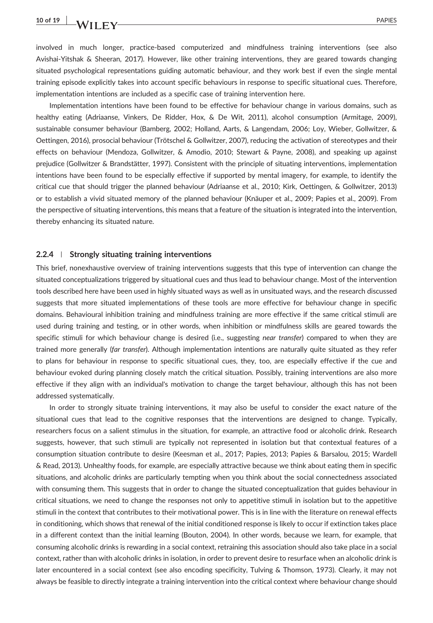involved in much longer, practice‐based computerized and mindfulness training interventions (see also Avishai‐Yitshak & Sheeran, 2017). However, like other training interventions, they are geared towards changing situated psychological representations guiding automatic behaviour, and they work best if even the single mental training episode explicitly takes into account specific behaviours in response to specific situational cues. Therefore, implementation intentions are included as a specific case of training intervention here.

Implementation intentions have been found to be effective for behaviour change in various domains, such as healthy eating (Adriaanse, Vinkers, De Ridder, Hox, & De Wit, 2011), alcohol consumption (Armitage, 2009), sustainable consumer behaviour (Bamberg, 2002; Holland, Aarts, & Langendam, 2006; Loy, Wieber, Gollwitzer, & Oettingen, 2016), prosocial behaviour (Trötschel & Gollwitzer, 2007), reducing the activation of stereotypes and their effects on behaviour (Mendoza, Gollwitzer, & Amodio, 2010; Stewart & Payne, 2008), and speaking up against prejudice (Gollwitzer & Brandstätter, 1997). Consistent with the principle of situating interventions, implementation intentions have been found to be especially effective if supported by mental imagery, for example, to identify the critical cue that should trigger the planned behaviour (Adriaanse et al., 2010; Kirk, Oettingen, & Gollwitzer, 2013) or to establish a vivid situated memory of the planned behaviour (Knäuper et al., 2009; Papies et al., 2009). From the perspective of situating interventions, this means that a feature of the situation is integrated into the intervention, thereby enhancing its situated nature.

#### 2.2.4 Strongly situating training interventions

This brief, nonexhaustive overview of training interventions suggests that this type of intervention can change the situated conceptualizations triggered by situational cues and thus lead to behaviour change. Most of the intervention tools described here have been used in highly situated ways as well as in unsituated ways, and the research discussed suggests that more situated implementations of these tools are more effective for behaviour change in specific domains. Behavioural inhibition training and mindfulness training are more effective if the same critical stimuli are used during training and testing, or in other words, when inhibition or mindfulness skills are geared towards the specific stimuli for which behaviour change is desired (i.e., suggesting near transfer) compared to when they are trained more generally (far transfer). Although implementation intentions are naturally quite situated as they refer to plans for behaviour in response to specific situational cues, they, too, are especially effective if the cue and behaviour evoked during planning closely match the critical situation. Possibly, training interventions are also more effective if they align with an individual's motivation to change the target behaviour, although this has not been addressed systematically.

In order to strongly situate training interventions, it may also be useful to consider the exact nature of the situational cues that lead to the cognitive responses that the interventions are designed to change. Typically, researchers focus on a salient stimulus in the situation, for example, an attractive food or alcoholic drink. Research suggests, however, that such stimuli are typically not represented in isolation but that contextual features of a consumption situation contribute to desire (Keesman et al., 2017; Papies, 2013; Papies & Barsalou, 2015; Wardell & Read, 2013). Unhealthy foods, for example, are especially attractive because we think about eating them in specific situations, and alcoholic drinks are particularly tempting when you think about the social connectedness associated with consuming them. This suggests that in order to change the situated conceptualization that guides behaviour in critical situations, we need to change the responses not only to appetitive stimuli in isolation but to the appetitive stimuli in the context that contributes to their motivational power. This is in line with the literature on renewal effects in conditioning, which shows that renewal of the initial conditioned response is likely to occur if extinction takes place in a different context than the initial learning (Bouton, 2004). In other words, because we learn, for example, that consuming alcoholic drinks is rewarding in a social context, retraining this association should also take place in a social context, rather than with alcoholic drinks in isolation, in order to prevent desire to resurface when an alcoholic drink is later encountered in a social context (see also encoding specificity, Tulving & Thomson, 1973). Clearly, it may not always be feasible to directly integrate a training intervention into the critical context where behaviour change should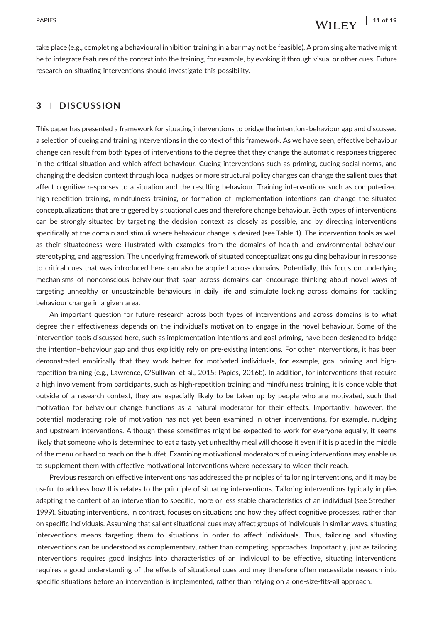PAPIES  $\begin{array}{c|c|c|c|c} \text{PAPIES} & \text{11 of 19} \end{array}$ 

take place (e.g., completing a behavioural inhibition training in a bar may not be feasible). A promising alternative might be to integrate features of the context into the training, for example, by evoking it through visual or other cues. Future research on situating interventions should investigate this possibility.

#### 3 | DISCUSSION

This paper has presented a framework for situating interventions to bridge the intention–behaviour gap and discussed a selection of cueing and training interventions in the context of this framework. As we have seen, effective behaviour change can result from both types of interventions to the degree that they change the automatic responses triggered in the critical situation and which affect behaviour. Cueing interventions such as priming, cueing social norms, and changing the decision context through local nudges or more structural policy changes can change the salient cues that affect cognitive responses to a situation and the resulting behaviour. Training interventions such as computerized high-repetition training, mindfulness training, or formation of implementation intentions can change the situated conceptualizations that are triggered by situational cues and therefore change behaviour. Both types of interventions can be strongly situated by targeting the decision context as closely as possible, and by directing interventions specifically at the domain and stimuli where behaviour change is desired (see Table 1). The intervention tools as well as their situatedness were illustrated with examples from the domains of health and environmental behaviour, stereotyping, and aggression. The underlying framework of situated conceptualizations guiding behaviour in response to critical cues that was introduced here can also be applied across domains. Potentially, this focus on underlying mechanisms of nonconscious behaviour that span across domains can encourage thinking about novel ways of targeting unhealthy or unsustainable behaviours in daily life and stimulate looking across domains for tackling behaviour change in a given area.

An important question for future research across both types of interventions and across domains is to what degree their effectiveness depends on the individual's motivation to engage in the novel behaviour. Some of the intervention tools discussed here, such as implementation intentions and goal priming, have been designed to bridge the intention–behaviour gap and thus explicitly rely on pre-existing intentions. For other interventions, it has been demonstrated empirically that they work better for motivated individuals, for example, goal priming and highrepetition training (e.g., Lawrence, O'Sullivan, et al., 2015; Papies, 2016b). In addition, for interventions that require a high involvement from participants, such as high-repetition training and mindfulness training, it is conceivable that outside of a research context, they are especially likely to be taken up by people who are motivated, such that motivation for behaviour change functions as a natural moderator for their effects. Importantly, however, the potential moderating role of motivation has not yet been examined in other interventions, for example, nudging and upstream interventions. Although these sometimes might be expected to work for everyone equally, it seems likely that someone who is determined to eat a tasty yet unhealthy meal will choose it even if it is placed in the middle of the menu or hard to reach on the buffet. Examining motivational moderators of cueing interventions may enable us to supplement them with effective motivational interventions where necessary to widen their reach.

Previous research on effective interventions has addressed the principles of tailoring interventions, and it may be useful to address how this relates to the principle of situating interventions. Tailoring interventions typically implies adapting the content of an intervention to specific, more or less stable characteristics of an individual (see Strecher, 1999). Situating interventions, in contrast, focuses on situations and how they affect cognitive processes, rather than on specific individuals. Assuming that salient situational cues may affect groups of individuals in similar ways, situating interventions means targeting them to situations in order to affect individuals. Thus, tailoring and situating interventions can be understood as complementary, rather than competing, approaches. Importantly, just as tailoring interventions requires good insights into characteristics of an individual to be effective, situating interventions requires a good understanding of the effects of situational cues and may therefore often necessitate research into specific situations before an intervention is implemented, rather than relying on a one-size-fits-all approach.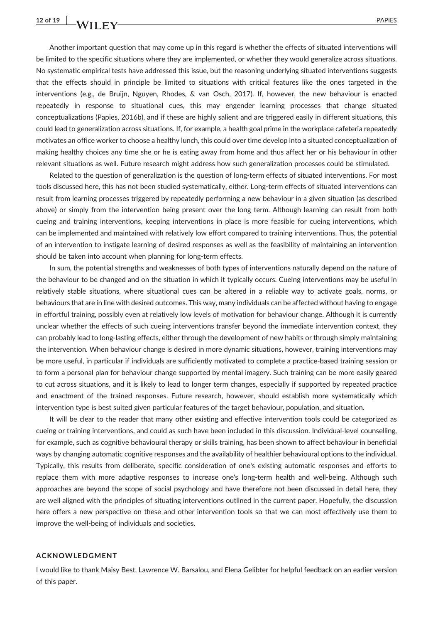Another important question that may come up in this regard is whether the effects of situated interventions will be limited to the specific situations where they are implemented, or whether they would generalize across situations. No systematic empirical tests have addressed this issue, but the reasoning underlying situated interventions suggests that the effects should in principle be limited to situations with critical features like the ones targeted in the interventions (e.g., de Bruijn, Nguyen, Rhodes, & van Osch, 2017). If, however, the new behaviour is enacted repeatedly in response to situational cues, this may engender learning processes that change situated conceptualizations (Papies, 2016b), and if these are highly salient and are triggered easily in different situations, this could lead to generalization across situations. If, for example, a health goal prime in the workplace cafeteria repeatedly motivates an office worker to choose a healthy lunch, this could over time develop into a situated conceptualization of making healthy choices any time she or he is eating away from home and thus affect her or his behaviour in other relevant situations as well. Future research might address how such generalization processes could be stimulated.

Related to the question of generalization is the question of long‐term effects of situated interventions. For most tools discussed here, this has not been studied systematically, either. Long-term effects of situated interventions can result from learning processes triggered by repeatedly performing a new behaviour in a given situation (as described above) or simply from the intervention being present over the long term. Although learning can result from both cueing and training interventions, keeping interventions in place is more feasible for cueing interventions, which can be implemented and maintained with relatively low effort compared to training interventions. Thus, the potential of an intervention to instigate learning of desired responses as well as the feasibility of maintaining an intervention should be taken into account when planning for long‐term effects.

In sum, the potential strengths and weaknesses of both types of interventions naturally depend on the nature of the behaviour to be changed and on the situation in which it typically occurs. Cueing interventions may be useful in relatively stable situations, where situational cues can be altered in a reliable way to activate goals, norms, or behaviours that are in line with desired outcomes. This way, many individuals can be affected without having to engage in effortful training, possibly even at relatively low levels of motivation for behaviour change. Although it is currently unclear whether the effects of such cueing interventions transfer beyond the immediate intervention context, they can probably lead to long‐lasting effects, either through the development of new habits or through simply maintaining the intervention. When behaviour change is desired in more dynamic situations, however, training interventions may be more useful, in particular if individuals are sufficiently motivated to complete a practice‐based training session or to form a personal plan for behaviour change supported by mental imagery. Such training can be more easily geared to cut across situations, and it is likely to lead to longer term changes, especially if supported by repeated practice and enactment of the trained responses. Future research, however, should establish more systematically which intervention type is best suited given particular features of the target behaviour, population, and situation.

It will be clear to the reader that many other existing and effective intervention tools could be categorized as cueing or training interventions, and could as such have been included in this discussion. Individual‐level counselling, for example, such as cognitive behavioural therapy or skills training, has been shown to affect behaviour in beneficial ways by changing automatic cognitive responses and the availability of healthier behavioural options to the individual. Typically, this results from deliberate, specific consideration of one's existing automatic responses and efforts to replace them with more adaptive responses to increase one's long-term health and well-being. Although such approaches are beyond the scope of social psychology and have therefore not been discussed in detail here, they are well aligned with the principles of situating interventions outlined in the current paper. Hopefully, the discussion here offers a new perspective on these and other intervention tools so that we can most effectively use them to improve the well‐being of individuals and societies.

#### ACKNOWLEDGMENT

I would like to thank Maisy Best, Lawrence W. Barsalou, and Elena Gelibter for helpful feedback on an earlier version of this paper.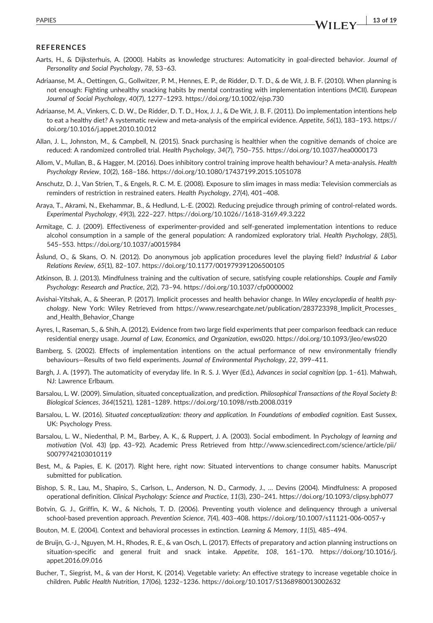#### REFERENCES

- Aarts, H., & Dijksterhuis, A. (2000). Habits as knowledge structures: Automaticity in goal‐directed behavior. Journal of Personality and Social Psychology, 78, 53–63.
- Adriaanse, M. A., Oettingen, G., Gollwitzer, P. M., Hennes, E. P., de Ridder, D. T. D., & de Wit, J. B. F. (2010). When planning is not enough: Fighting unhealthy snacking habits by mental contrasting with implementation intentions (MCII). European Journal of Social Psychology, 40(7), 1277–1293.<https://doi.org/10.1002/ejsp.730>
- Adriaanse, M. A., Vinkers, C. D. W., De Ridder, D. T. D., Hox, J. J., & De Wit, J. B. F. (2011). Do implementation intentions help to eat a healthy diet? A systematic review and meta-analysis of the empirical evidence. Appetite, 56(1), 183-193. [https://](https://doi.org/10.1016/j.appet.2010.10.012) [doi.org/10.1016/j.appet.2010.10.012](https://doi.org/10.1016/j.appet.2010.10.012)
- Allan, J. L., Johnston, M., & Campbell, N. (2015). Snack purchasing is healthier when the cognitive demands of choice are reduced: A randomized controlled trial. Health Psychology, 34(7), 750–755.<https://doi.org/10.1037/hea0000173>
- Allom, V., Mullan, B., & Hagger, M. (2016). Does inhibitory control training improve health behaviour? A meta‐analysis. Health Psychology Review, 10(2), 168–186.<https://doi.org/10.1080/17437199.2015.1051078>
- Anschutz, D. J., Van Strien, T., & Engels, R. C. M. E. (2008). Exposure to slim images in mass media: Television commercials as reminders of restriction in restrained eaters. Health Psychology, 27(4), 401–408.
- Araya, T., Akrami, N., Ekehammar, B., & Hedlund, L.‐E. (2002). Reducing prejudice through priming of control‐related words. Experimental Psychology, 49(3), 222–227. [https://doi.org/10.1026//1618](https://doi.org/10.1026//1618-3169.49.3.222)‐3169.49.3.222
- Armitage, C. J. (2009). Effectiveness of experimenter‐provided and self‐generated implementation intentions to reduce alcohol consumption in a sample of the general population: A randomized exploratory trial. Health Psychology, 28(5), 545–553.<https://doi.org/10.1037/a0015984>
- Åslund, O., & Skans, O. N. (2012). Do anonymous job application procedures level the playing field? Industrial & Labor Relations Review, 65(1), 82–107.<https://doi.org/10.1177/001979391206500105>
- Atkinson, B. J. (2013). Mindfulness training and the cultivation of secure, satisfying couple relationships. Couple and Family Psychology: Research and Practice, 2(2), 73–94.<https://doi.org/10.1037/cfp0000002>
- Avishai‐Yitshak, A., & Sheeran, P. (2017). Implicit processes and health behavior change. In Wiley encyclopedia of health psychology. New York: Wiley Retrieved from [https://www.researchgate.net/publication/283723398\\_Implicit\\_Processes\\_](https://www.researchgate.net/publication/283723398_Implicit_Processes_and_Health_Behavior_Change) and Health Behavior Change
- Ayres, I., Raseman, S., & Shih, A. (2012). Evidence from two large field experiments that peer comparison feedback can reduce residential energy usage. Journal of Law, Economics, and Organization, ews020.<https://doi.org/10.1093/jleo/ews020>
- Bamberg, S. (2002). Effects of implementation intentions on the actual performance of new environmentally friendly behaviours—Results of two field experiments. Journal of Environmental Psychology, 22, 399–411.
- Bargh, J. A. (1997). The automaticity of everyday life. In R. S. J. Wyer (Ed.), Advances in social cognition (pp. 1–61). Mahwah, NJ: Lawrence Erlbaum.
- Barsalou, L. W. (2009). Simulation, situated conceptualization, and prediction. Philosophical Transactions of the Royal Society B: Biological Sciences, 364(1521), 1281–1289.<https://doi.org/10.1098/rstb.2008.0319>
- Barsalou, L. W. (2016). Situated conceptualization: theory and application. In Foundations of embodied cognition. East Sussex, UK: Psychology Press.
- Barsalou, L. W., Niedenthal, P. M., Barbey, A. K., & Ruppert, J. A. (2003). Social embodiment. In Psychology of learning and motivation (Vol. 43) (pp. 43–92). Academic Press Retrieved from [http://www.sciencedirect.com/science/article/pii/](http://www.sciencedirect.com/science/article/pii/S0079742103010119) [S0079742103010119](http://www.sciencedirect.com/science/article/pii/S0079742103010119)
- Best, M., & Papies, E. K. (2017). Right here, right now: Situated interventions to change consumer habits. Manuscript submitted for publication.
- Bishop, S. R., Lau, M., Shapiro, S., Carlson, L., Anderson, N. D., Carmody, J., … Devins (2004). Mindfulness: A proposed operational definition. Clinical Psychology: Science and Practice, 11(3), 230–241.<https://doi.org/10.1093/clipsy.bph077>
- Botvin, G. J., Griffin, K. W., & Nichols, T. D. (2006). Preventing youth violence and delinquency through a universal school‐based prevention approach. Prevention Science, 7(4), 403–408. [https://doi.org/10.1007/s11121](https://doi.org/10.1007/s11121-006-0057-y)‐006‐0057‐y
- Bouton, M. E. (2004). Context and behavioral processes in extinction. Learning & Memory, 11(5), 485–494.
- de Bruijn, G.‐J., Nguyen, M. H., Rhodes, R. E., & van Osch, L. (2017). Effects of preparatory and action planning instructions on situation-specific and general fruit and snack intake. Appetite, 108, 161-170. [https://doi.org/10.1016/j.](https://doi.org/10.1016/j.appet.2016.09.016) [appet.2016.09.016](https://doi.org/10.1016/j.appet.2016.09.016)
- Bucher, T., Siegrist, M., & van der Horst, K. (2014). Vegetable variety: An effective strategy to increase vegetable choice in children. Public Health Nutrition, 17(06), 1232–1236.<https://doi.org/10.1017/S1368980013002632>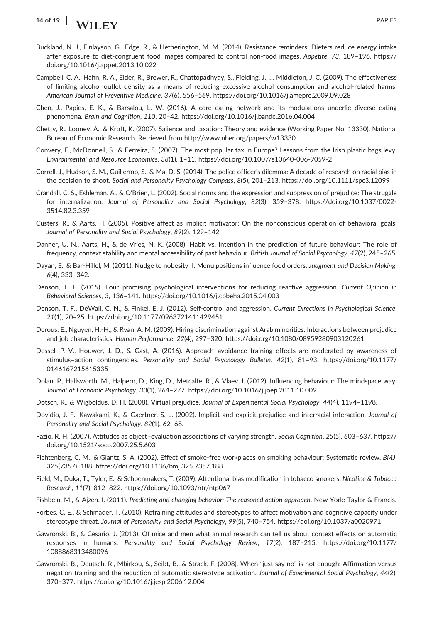- Buckland, N. J., Finlayson, G., Edge, R., & Hetherington, M. M. (2014). Resistance reminders: Dieters reduce energy intake after exposure to diet-congruent food images compared to control non-food images. Appetite, 73, 189-196. [https://](https://doi.org/10.1016/j.appet.2013.10.022) [doi.org/10.1016/j.appet.2013.10.022](https://doi.org/10.1016/j.appet.2013.10.022)
- Campbell, C. A., Hahn, R. A., Elder, R., Brewer, R., Chattopadhyay, S., Fielding, J., … Middleton, J. C. (2009). The effectiveness of limiting alcohol outlet density as a means of reducing excessive alcohol consumption and alcohol‐related harms. American Journal of Preventive Medicine, 37(6), 556–569.<https://doi.org/10.1016/j.amepre.2009.09.028>
- Chen, J., Papies, E. K., & Barsalou, L. W. (2016). A core eating network and its modulations underlie diverse eating phenomena. Brain and Cognition, 110, 20–42.<https://doi.org/10.1016/j.bandc.2016.04.004>
- Chetty, R., Looney, A., & Kroft, K. (2007). Salience and taxation: Theory and evidence (Working Paper No. 13330). National Bureau of Economic Research. Retrieved from<http://www.nber.org/papers/w13330>
- Convery, F., McDonnell, S., & Ferreira, S. (2007). The most popular tax in Europe? Lessons from the Irish plastic bags levy. Environmental and Resource Economics, 38(1), 1–11. [https://doi.org/10.1007/s10640](https://doi.org/10.1007/s10640-006-9059-2)‐006‐9059‐2
- Correll, J., Hudson, S. M., Guillermo, S., & Ma, D. S. (2014). The police officer's dilemma: A decade of research on racial bias in the decision to shoot. Social and Personality Psychology Compass, 8(5), 201–213.<https://doi.org/10.1111/spc3.12099>
- Crandall, C. S., Eshleman, A., & O'Brien, L. (2002). Social norms and the expression and suppression of prejudice: The struggle for internalization. Journal of Personality and Social Psychology, 82(3), 359–378. [https://doi.org/10.1037/0022](https://doi.org/10.1037/0022-3514.82.3.359)‐ [3514.82.3.359](https://doi.org/10.1037/0022-3514.82.3.359)
- Custers, R., & Aarts, H. (2005). Positive affect as implicit motivator: On the nonconscious operation of behavioral goals. Journal of Personality and Social Psychology, 89(2), 129–142.
- Danner, U. N., Aarts, H., & de Vries, N. K. (2008). Habit vs. intention in the prediction of future behaviour: The role of frequency, context stability and mental accessibility of past behaviour. British Journal of Social Psychology, 47(2), 245–265.
- Dayan, E., & Bar-Hillel, M. (2011). Nudge to nobesity II: Menu positions influence food orders. Judgment and Decision Making, 6(4), 333–342.
- Denson, T. F. (2015). Four promising psychological interventions for reducing reactive aggression. Current Opinion in Behavioral Sciences, 3, 136–141.<https://doi.org/10.1016/j.cobeha.2015.04.003>
- Denson, T. F., DeWall, C. N., & Finkel, E. J. (2012). Self‐control and aggression. Current Directions in Psychological Science, 21(1), 20–25.<https://doi.org/10.1177/0963721411429451>
- Derous, E., Nguyen, H.‐H., & Ryan, A. M. (2009). Hiring discrimination against Arab minorities: Interactions between prejudice and job characteristics. Human Performance, 22(4), 297–320.<https://doi.org/10.1080/08959280903120261>
- Dessel, P. V., Houwer, J. D., & Gast, A. (2016). Approach–avoidance training effects are moderated by awareness of stimulus–action contingencies. Personality and Social Psychology Bulletin, 42(1), 81–93. [https://doi.org/10.1177/](https://doi.org/10.1177/0146167215615335) [0146167215615335](https://doi.org/10.1177/0146167215615335)
- Dolan, P., Hallsworth, M., Halpern, D., King, D., Metcalfe, R., & Vlaev, I. (2012). Influencing behaviour: The mindspace way. Journal of Economic Psychology, 33(1), 264–277.<https://doi.org/10.1016/j.joep.2011.10.009>
- Dotsch, R., & Wigboldus, D. H. (2008). Virtual prejudice. Journal of Experimental Social Psychology, 44(4), 1194–1198.
- Dovidio, J. F., Kawakami, K., & Gaertner, S. L. (2002). Implicit and explicit prejudice and interracial interaction. Journal of Personality and Social Psychology, 82(1), 62–68.
- Fazio, R. H. (2007). Attitudes as object–evaluation associations of varying strength. Social Cognition, 25(5), 603–637. [https://](https://doi.org/10.1521/soco.2007.25.5.603) [doi.org/10.1521/soco.2007.25.5.603](https://doi.org/10.1521/soco.2007.25.5.603)
- Fichtenberg, C. M., & Glantz, S. A. (2002). Effect of smoke‐free workplaces on smoking behaviour: Systematic review. BMJ, 325(7357), 188.<https://doi.org/10.1136/bmj.325.7357.188>
- Field, M., Duka, T., Tyler, E., & Schoenmakers, T. (2009). Attentional bias modification in tobacco smokers. Nicotine & Tobacco Research, 11(7), 812–822.<https://doi.org/10.1093/ntr/ntp067>
- Fishbein, M., & Ajzen, I. (2011). Predicting and changing behavior: The reasoned action approach. New York: Taylor & Francis.
- Forbes, C. E., & Schmader, T. (2010). Retraining attitudes and stereotypes to affect motivation and cognitive capacity under stereotype threat. Journal of Personality and Social Psychology, 99(5), 740–754.<https://doi.org/10.1037/a0020971>
- Gawronski, B., & Cesario, J. (2013). Of mice and men what animal research can tell us about context effects on automatic responses in humans. Personality and Social Psychology Review, 17(2), 187–215. [https://doi.org/10.1177/](https://doi.org/10.1177/1088868313480096) [1088868313480096](https://doi.org/10.1177/1088868313480096)
- Gawronski, B., Deutsch, R., Mbirkou, S., Seibt, B., & Strack, F. (2008). When "just say no" is not enough: Affirmation versus negation training and the reduction of automatic stereotype activation. Journal of Experimental Social Psychology, 44(2), 370–377.<https://doi.org/10.1016/j.jesp.2006.12.004>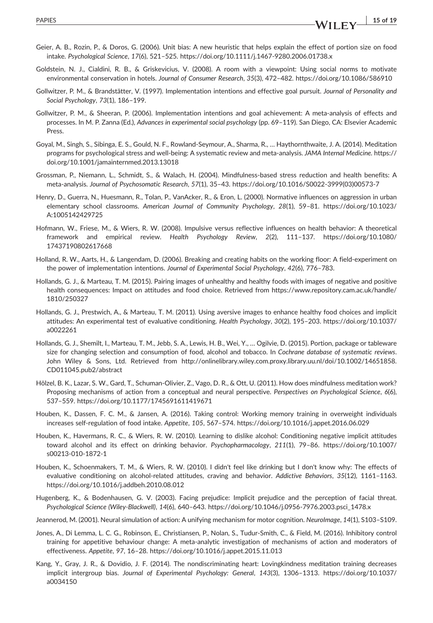- intake. Psychological Science, 17(6), 521–525. [https://doi.org/10.1111/j.1467](https://doi.org/10.1111/j.1467-9280.2006.01738.x)‐9280.2006.01738.x Goldstein, N. J., Cialdini, R. B., & Griskevicius, V. (2008). A room with a viewpoint: Using social norms to motivate environmental conservation in hotels. Journal of Consumer Research, 35(3), 472–482.<https://doi.org/10.1086/586910>
- Gollwitzer, P. M., & Brandstätter, V. (1997). Implementation intentions and effective goal pursuit. Journal of Personality and Social Psychology, 73(1), 186–199.
- Gollwitzer, P. M., & Sheeran, P. (2006). Implementation intentions and goal achievement: A meta‐analysis of effects and processes. In M. P. Zanna (Ed.), Advances in experimental social psychology (pp. 69–119). San Diego, CA: Elsevier Academic Press.
- Goyal, M., Singh, S., Sibinga, E. S., Gould, N. F., Rowland‐Seymour, A., Sharma, R., … Haythornthwaite, J. A. (2014). Meditation programs for psychological stress and well-being: A systematic review and meta-analysis. JAMA Internal Medicine. [https://](https://doi.org/10.1001/jamainternmed.2013.13018) [doi.org/10.1001/jamainternmed.2013.13018](https://doi.org/10.1001/jamainternmed.2013.13018)
- Grossman, P., Niemann, L., Schmidt, S., & Walach, H. (2004). Mindfulness‐based stress reduction and health benefits: A meta‐analysis. Journal of Psychosomatic Research, 57(1), 35–43. [https://doi.org/10.1016/S0022](https://doi.org/10.1016/S0022-3999(03)00573-7)‐3999(03)00573‐7
- Henry, D., Guerra, N., Huesmann, R., Tolan, P., VanAcker, R., & Eron, L. (2000). Normative influences on aggression in urban elementary school classrooms. American Journal of Community Psychology, 28(1), 59–81. [https://doi.org/10.1023/](https://doi.org/10.1023/A:1005142429725) [A:1005142429725](https://doi.org/10.1023/A:1005142429725)
- Hofmann, W., Friese, M., & Wiers, R. W. (2008). Impulsive versus reflective influences on health behavior: A theoretical framework and empirical review. Health Psychology Review, 2(2), 111–137. [https://doi.org/10.1080/](https://doi.org/10.1080/17437190802617668) [17437190802617668](https://doi.org/10.1080/17437190802617668)
- Holland, R. W., Aarts, H., & Langendam, D. (2006). Breaking and creating habits on the working floor: A field‐experiment on the power of implementation intentions. Journal of Experimental Social Psychology, 42(6), 776–783.
- Hollands, G. J., & Marteau, T. M. (2015). Pairing images of unhealthy and healthy foods with images of negative and positive health consequences: Impact on attitudes and food choice. Retrieved from [https://www.repository.cam.ac.uk/handle/](https://www.repository.cam.ac.uk/handle/1810/250327) [1810/250327](https://www.repository.cam.ac.uk/handle/1810/250327)
- Hollands, G. J., Prestwich, A., & Marteau, T. M. (2011). Using aversive images to enhance healthy food choices and implicit attitudes: An experimental test of evaluative conditioning. Health Psychology, 30(2), 195–203. [https://doi.org/10.1037/](https://doi.org/10.1037/a0022261) [a0022261](https://doi.org/10.1037/a0022261)
- Hollands, G. J., Shemilt, I., Marteau, T. M., Jebb, S. A., Lewis, H. B., Wei, Y., … Ogilvie, D. (2015). Portion, package or tableware size for changing selection and consumption of food, alcohol and tobacco. In Cochrane database of systematic reviews. John Wiley & Sons, Ltd. Retrieved from [http://onlinelibrary.wiley.com.proxy.library.uu.nl/doi/10.1002/14651858.](http://onlinelibrary.wiley.com.proxy.library.uu.nl/doi/10.1002/14651858.CD011045.pub2/abstract) [CD011045.pub2/abstract](http://onlinelibrary.wiley.com.proxy.library.uu.nl/doi/10.1002/14651858.CD011045.pub2/abstract)
- Hölzel, B. K., Lazar, S. W., Gard, T., Schuman‐Olivier, Z., Vago, D. R., & Ott, U. (2011). How does mindfulness meditation work? Proposing mechanisms of action from a conceptual and neural perspective. Perspectives on Psychological Science, 6(6), 537–559.<https://doi.org/10.1177/1745691611419671>
- Houben, K., Dassen, F. C. M., & Jansen, A. (2016). Taking control: Working memory training in overweight individuals increases self‐regulation of food intake. Appetite, 105, 567–574.<https://doi.org/10.1016/j.appet.2016.06.029>
- Houben, K., Havermans, R. C., & Wiers, R. W. (2010). Learning to dislike alcohol: Conditioning negative implicit attitudes toward alcohol and its effect on drinking behavior. Psychopharmacology, 211(1), 79–86. [https://doi.org/10.1007/](https://doi.org/10.1007/s00213-010-1872-1) [s00213](https://doi.org/10.1007/s00213-010-1872-1)‐010‐1872‐1
- Houben, K., Schoenmakers, T. M., & Wiers, R. W. (2010). I didn't feel like drinking but I don't know why: The effects of evaluative conditioning on alcohol-related attitudes, craving and behavior. Addictive Behaviors, 35(12), 1161-1163. <https://doi.org/10.1016/j.addbeh.2010.08.012>
- Hugenberg, K., & Bodenhausen, G. V. (2003). Facing prejudice: Implicit prejudice and the perception of facial threat. Psychological Science (Wiley‐Blackwell), 14(6), 640–643. [https://doi.org/10.1046/j.0956](https://doi.org/10.1046/j.0956-7976.2003.psci_1478.x)‐7976.2003.psci\_1478.x
- Jeannerod, M. (2001). Neural simulation of action: A unifying mechanism for motor cognition. NeuroImage, 14(1), S103–S109.
- Jones, A., Di Lemma, L. C. G., Robinson, E., Christiansen, P., Nolan, S., Tudur‐Smith, C., & Field, M. (2016). Inhibitory control training for appetitive behaviour change: A meta‐analytic investigation of mechanisms of action and moderators of effectiveness. Appetite, 97, 16–28.<https://doi.org/10.1016/j.appet.2015.11.013>
- Kang, Y., Gray, J. R., & Dovidio, J. F. (2014). The nondiscriminating heart: Lovingkindness meditation training decreases implicit intergroup bias. Journal of Experimental Psychology: General, 143(3), 1306–1313. [https://doi.org/10.1037/](https://doi.org/10.1037/a0034150) [a0034150](https://doi.org/10.1037/a0034150)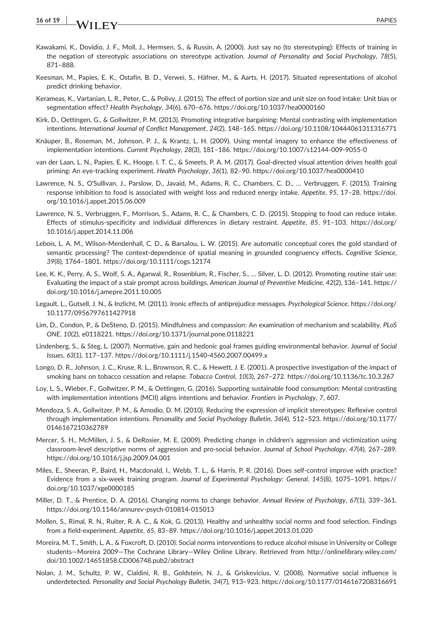- Kawakami, K., Dovidio, J. F., Moll, J., Hermsen, S., & Russin, A. (2000). Just say no (to stereotyping): Effects of training in the negation of stereotypic associations on stereotype activation. Journal of Personality and Social Psychology, 78(5), 871–888.
- Keesman, M., Papies, E. K., Ostafin, B. D., Verwei, S., Häfner, M., & Aarts, H. (2017). Situated representations of alcohol predict drinking behavior.
- Kerameas, K., Vartanian, L. R., Peter, C., & Polivy, J. (2015). The effect of portion size and unit size on food intake: Unit bias or segmentation effect? Health Psychology, 34(6), 670–676.<https://doi.org/10.1037/hea0000160>
- Kirk, D., Oettingen, G., & Gollwitzer, P. M. (2013). Promoting integrative bargaining: Mental contrasting with implementation intentions. International Journal of Conflict Management, 24(2), 148–165.<https://doi.org/10.1108/10444061311316771>
- Knäuper, B., Roseman, M., Johnson, P. J., & Krantz, L. H. (2009). Using mental imagery to enhance the effectiveness of implementation intentions. Current Psychology, 28(3), 181–186. [https://doi.org/10.1007/s12144](https://doi.org/10.1007/s12144-009-9055-0)‐009‐9055‐0
- van der Laan, L. N., Papies, E. K., Hooge, I. T. C., & Smeets, P. A. M. (2017). Goal‐directed visual attention drives health goal priming: An eye-tracking experiment. Health Psychology, 36(1), 82-90.<https://doi.org/10.1037/hea0000410>
- Lawrence, N. S., O'Sullivan, J., Parslow, D., Javaid, M., Adams, R. C., Chambers, C. D., … Verbruggen, F. (2015). Training response inhibition to food is associated with weight loss and reduced energy intake. Appetite, 95, 17–28. [https://doi.](https://doi.org/10.1016/j.appet.2015.06.009) [org/10.1016/j.appet.2015.06.009](https://doi.org/10.1016/j.appet.2015.06.009)
- Lawrence, N. S., Verbruggen, F., Morrison, S., Adams, R. C., & Chambers, C. D. (2015). Stopping to food can reduce intake. Effects of stimulus-specificity and individual differences in dietary restraint. Appetite, 85, 91-103. [https://doi.org/](https://doi.org/10.1016/j.appet.2014.11.006) [10.1016/j.appet.2014.11.006](https://doi.org/10.1016/j.appet.2014.11.006)
- Lebois, L. A. M., Wilson‐Mendenhall, C. D., & Barsalou, L. W. (2015). Are automatic conceptual cores the gold standard of semantic processing? The context-dependence of spatial meaning in grounded congruency effects. Cognitive Science, 39(8), 1764–1801.<https://doi.org/10.1111/cogs.12174>
- Lee, K. K., Perry, A. S., Wolf, S. A., Agarwal, R., Rosenblum, R., Fischer, S., … Silver, L. D. (2012). Promoting routine stair use: Evaluating the impact of a stair prompt across buildings. American Journal of Preventive Medicine, 42(2), 136–141. [https://](https://doi.org/10.1016/j.amepre.2011.10.005) [doi.org/10.1016/j.amepre.2011.10.005](https://doi.org/10.1016/j.amepre.2011.10.005)
- Legault, L., Gutsell, J. N., & Inzlicht, M. (2011). Ironic effects of antiprejudice messages. Psychological Science. [https://doi.org/](https://doi.org/10.1177/0956797611427918) [10.1177/0956797611427918](https://doi.org/10.1177/0956797611427918)
- Lim, D., Condon, P., & DeSteno, D. (2015). Mindfulness and compassion: An examination of mechanism and scalability. PLoS ONE, 10(2), e0118221.<https://doi.org/10.1371/journal.pone.0118221>
- Lindenberg, S., & Steg, L. (2007). Normative, gain and hedonic goal frames guiding environmental behavior. Journal of Social Issues, 63(1), 117–137. [https://doi.org/10.1111/j.1540](https://doi.org/10.1111/j.1540-4560.2007.00499.x)‐4560.2007.00499.x
- Longo, D. R., Johnson, J. C., Kruse, R. L., Brownson, R. C., & Hewett, J. E. (2001). A prospective investigation of the impact of smoking bans on tobacco cessation and relapse. Tobacco Control, 10(3), 267–272.<https://doi.org/10.1136/tc.10.3.267>
- Loy, L. S., Wieber, F., Gollwitzer, P. M., & Oettingen, G. (2016). Supporting sustainable food consumption: Mental contrasting with implementation intentions (MCII) aligns intentions and behavior. Frontiers in Psychology, 7, 607.
- Mendoza, S. A., Gollwitzer, P. M., & Amodio, D. M. (2010). Reducing the expression of implicit stereotypes: Reflexive control through implementation intentions. Personality and Social Psychology Bulletin, 36(4), 512–523. [https://doi.org/10.1177/](https://doi.org/10.1177/0146167210362789) [0146167210362789](https://doi.org/10.1177/0146167210362789)
- Mercer, S. H., McMillen, J. S., & DeRosier, M. E. (2009). Predicting change in children's aggression and victimization using classroom‐level descriptive norms of aggression and pro‐social behavior. Journal of School Psychology, 47(4), 267–289. <https://doi.org/10.1016/j.jsp.2009.04.001>
- Miles, E., Sheeran, P., Baird, H., Macdonald, I., Webb, T. L., & Harris, P. R. (2016). Does self‐control improve with practice? Evidence from a six‐week training program. Journal of Experimental Psychology: General, 145(8), 1075–1091. [https://](https://doi.org/10.1037/xge0000185) [doi.org/10.1037/xge0000185](https://doi.org/10.1037/xge0000185)
- Miller, D. T., & Prentice, D. A. (2016). Changing norms to change behavior. Annual Review of Psychology, 67(1), 339–361. [https://doi.org/10.1146/annurev](https://doi.org/10.1146/annurev-psych-010814-015013)‐psych‐010814‐015013
- Mollen, S., Rimal, R. N., Ruiter, R. A. C., & Kok, G. (2013). Healthy and unhealthy social norms and food selection. Findings from a field‐experiment. Appetite, 65, 83–89.<https://doi.org/10.1016/j.appet.2013.01.020>
- Moreira, M. T., Smith, L. A., & Foxcroft, D. (2010). Social norms interventions to reduce alcohol misuse in University or College students—Moreira 2009—The Cochrane Library—Wiley Online Library. Retrieved from [http://onlinelibrary.wiley.com/](http://onlinelibrary.wiley.com/doi/10.1002/14651858.CD006748.pub2/abstract) [doi/10.1002/14651858.CD006748.pub2/abstract](http://onlinelibrary.wiley.com/doi/10.1002/14651858.CD006748.pub2/abstract)
- Nolan, J. M., Schultz, P. W., Cialdini, R. B., Goldstein, N. J., & Griskevicius, V. (2008). Normative social influence is underdetected. Personality and Social Psychology Bulletin, 34(7), 913–923.<https://doi.org/10.1177/0146167208316691>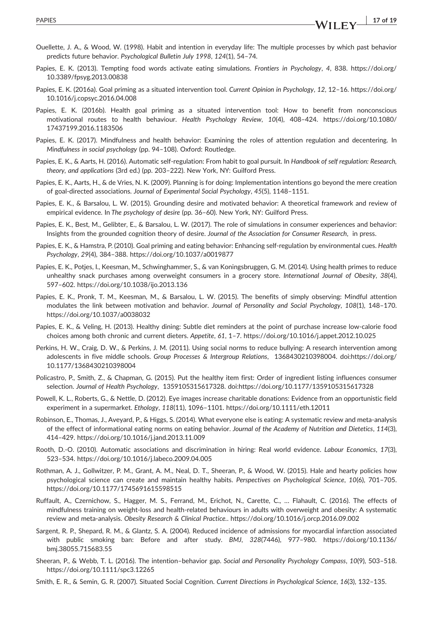- Papies, E. K. (2013). Tempting food words activate eating simulations. Frontiers in Psychology, 4, 838. [https://doi.org/](https://doi.org/10.3389/fpsyg.2013.00838) [10.3389/fpsyg.2013.00838](https://doi.org/10.3389/fpsyg.2013.00838)
- Papies, E. K. (2016a). Goal priming as a situated intervention tool. Current Opinion in Psychology, 12, 12–16. [https://doi.org/](https://doi.org/10.1016/j.copsyc.2016.04.008) [10.1016/j.copsyc.2016.04.008](https://doi.org/10.1016/j.copsyc.2016.04.008)
- Papies, E. K. (2016b). Health goal priming as a situated intervention tool: How to benefit from nonconscious motivational routes to health behaviour. Health Psychology Review, 10(4), 408–424. [https://doi.org/10.1080/](https://doi.org/10.1080/17437199.2016.1183506) [17437199.2016.1183506](https://doi.org/10.1080/17437199.2016.1183506)
- Papies, E. K. (2017). Mindfulness and health behavior: Examining the roles of attention regulation and decentering. In Mindfulness in social psychology (pp. 94–108). Oxford: Routledge.
- Papies, E. K., & Aarts, H. (2016). Automatic self-regulation: From habit to goal pursuit. In Handbook of self regulation: Research, theory, and applications (3rd ed.) (pp. 203–222). New York, NY: Guilford Press.
- Papies, E. K., Aarts, H., & de Vries, N. K. (2009). Planning is for doing: Implementation intentions go beyond the mere creation of goal-directed associations. Journal of Experimental Social Psychology, 45(5), 1148-1151.
- Papies, E. K., & Barsalou, L. W. (2015). Grounding desire and motivated behavior: A theoretical framework and review of empirical evidence. In The psychology of desire (pp. 36–60). New York, NY: Guilford Press.
- Papies, E. K., Best, M., Gelibter, E., & Barsalou, L. W. (2017). The role of simulations in consumer experiences and behavior: Insights from the grounded cognition theory of desire. Journal of the Association for Consumer Research, in press.
- Papies, E. K., & Hamstra, P. (2010). Goal priming and eating behavior: Enhancing self-regulation by environmental cues. Health Psychology, 29(4), 384–388.<https://doi.org/10.1037/a0019877>
- Papies, E. K., Potjes, I., Keesman, M., Schwinghammer, S., & van Koningsbruggen, G. M. (2014). Using health primes to reduce unhealthy snack purchases among overweight consumers in a grocery store. International Journal of Obesity, 38(4), 597–602.<https://doi.org/10.1038/ijo.2013.136>
- Papies, E. K., Pronk, T. M., Keesman, M., & Barsalou, L. W. (2015). The benefits of simply observing: Mindful attention modulates the link between motivation and behavior. Journal of Personality and Social Psychology, 108(1), 148–170. <https://doi.org/10.1037/a0038032>
- Papies, E. K., & Veling, H. (2013). Healthy dining: Subtle diet reminders at the point of purchase increase low‐calorie food choices among both chronic and current dieters. Appetite, 61, 1–7.<https://doi.org/10.1016/j.appet.2012.10.025>
- Perkins, H. W., Craig, D. W., & Perkins, J. M. (2011). Using social norms to reduce bullying: A research intervention among adolescents in five middle schools. Group Processes & Intergroup Relations, 1368430210398004. doi:[https://doi.org/](https://doi.org/10.1177/1368430210398004) [10.1177/1368430210398004](https://doi.org/10.1177/1368430210398004)
- Policastro, P., Smith, Z., & Chapman, G. (2015). Put the healthy item first: Order of ingredient listing influences consumer selection. Journal of Health Psychology, 1359105315617328. doi[:https://doi.org/10.1177/1359105315617328](https://doi.org/10.1177/1359105315617328)
- Powell, K. L., Roberts, G., & Nettle, D. (2012). Eye images increase charitable donations: Evidence from an opportunistic field experiment in a supermarket. Ethology, 118(11), 1096–1101.<https://doi.org/10.1111/eth.12011>
- Robinson, E., Thomas, J., Aveyard, P., & Higgs, S. (2014). What everyone else is eating: A systematic review and meta‐analysis of the effect of informational eating norms on eating behavior. Journal of the Academy of Nutrition and Dietetics, 114(3), 414–429.<https://doi.org/10.1016/j.jand.2013.11.009>
- Rooth, D.‐O. (2010). Automatic associations and discrimination in hiring: Real world evidence. Labour Economics, 17(3), 523–534.<https://doi.org/10.1016/j.labeco.2009.04.005>
- Rothman, A. J., Gollwitzer, P. M., Grant, A. M., Neal, D. T., Sheeran, P., & Wood, W. (2015). Hale and hearty policies how psychological science can create and maintain healthy habits. Perspectives on Psychological Science, 10(6), 701–705. <https://doi.org/10.1177/1745691615598515>
- Ruffault, A., Czernichow, S., Hagger, M. S., Ferrand, M., Erichot, N., Carette, C., … Flahault, C. (2016). The effects of mindfulness training on weight‐loss and health‐related behaviours in adults with overweight and obesity: A systematic review and meta‐analysis. Obesity Research & Clinical Practice..<https://doi.org/10.1016/j.orcp.2016.09.002>
- Sargent, R. P., Shepard, R. M., & Glantz, S. A. (2004). Reduced incidence of admissions for myocardial infarction associated with public smoking ban: Before and after study. BMJ, 328(7446), 977–980. [https://doi.org/10.1136/](https://doi.org/10.1136/bmj.38055.715683.55) [bmj.38055.715683.55](https://doi.org/10.1136/bmj.38055.715683.55)
- Sheeran, P., & Webb, T. L. (2016). The intention–behavior gap. Social and Personality Psychology Compass, 10(9), 503–518. <https://doi.org/10.1111/spc3.12265>
- Smith, E. R., & Semin, G. R. (2007). Situated Social Cognition. Current Directions in Psychological Science, 16(3), 132–135.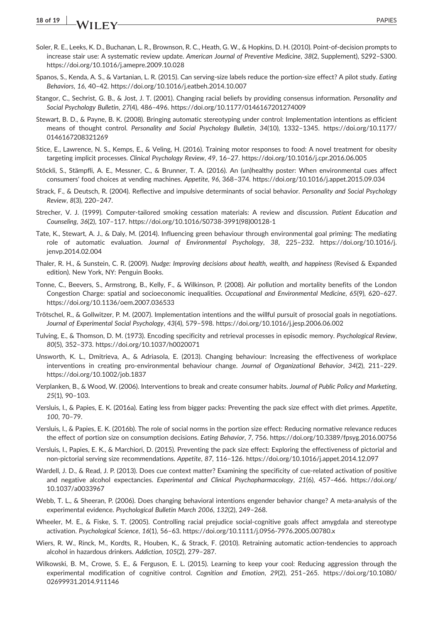- Soler, R. E., Leeks, K. D., Buchanan, L. R., Brownson, R. C., Heath, G. W., & Hopkins, D. H. (2010). Point‐of‐decision prompts to increase stair use: A systematic review update. American Journal of Preventive Medicine, 38(2, Supplement), S292–S300. <https://doi.org/10.1016/j.amepre.2009.10.028>
- Spanos, S., Kenda, A. S., & Vartanian, L. R. (2015). Can serving‐size labels reduce the portion‐size effect? A pilot study. Eating Behaviors, 16, 40–42.<https://doi.org/10.1016/j.eatbeh.2014.10.007>
- Stangor, C., Sechrist, G. B., & Jost, J. T. (2001). Changing racial beliefs by providing consensus information. Personality and Social Psychology Bulletin, 27(4), 486–496.<https://doi.org/10.1177/0146167201274009>
- Stewart, B. D., & Payne, B. K. (2008). Bringing automatic stereotyping under control: Implementation intentions as efficient means of thought control. Personality and Social Psychology Bulletin, 34(10), 1332–1345. [https://doi.org/10.1177/](https://doi.org/10.1177/0146167208321269) [0146167208321269](https://doi.org/10.1177/0146167208321269)
- Stice, E., Lawrence, N. S., Kemps, E., & Veling, H. (2016). Training motor responses to food: A novel treatment for obesity targeting implicit processes. Clinical Psychology Review, 49, 16–27.<https://doi.org/10.1016/j.cpr.2016.06.005>
- Stöckli, S., Stämpfli, A. E., Messner, C., & Brunner, T. A. (2016). An (un)healthy poster: When environmental cues affect consumers' food choices at vending machines. Appetite, 96, 368–374.<https://doi.org/10.1016/j.appet.2015.09.034>
- Strack, F., & Deutsch, R. (2004). Reflective and impulsive determinants of social behavior. Personality and Social Psychology Review, 8(3), 220–247.
- Strecher, V. J. (1999). Computer‐tailored smoking cessation materials: A review and discussion. Patient Education and Counseling, 36(2), 107–117. [https://doi.org/10.1016/S0738](https://doi.org/10.1016/S0738-3991(98)00128-1)‐3991(98)00128‐1
- Tate, K., Stewart, A. J., & Daly, M. (2014). Influencing green behaviour through environmental goal priming: The mediating role of automatic evaluation. Journal of Environmental Psychology, 38, 225–232. [https://doi.org/10.1016/j.](https://doi.org/10.1016/j.jenvp.2014.02.004) [jenvp.2014.02.004](https://doi.org/10.1016/j.jenvp.2014.02.004)
- Thaler, R. H., & Sunstein, C. R. (2009). Nudge: Improving decisions about health, wealth, and happiness (Revised & Expanded edition). New York, NY: Penguin Books.
- Tonne, C., Beevers, S., Armstrong, B., Kelly, F., & Wilkinson, P. (2008). Air pollution and mortality benefits of the London Congestion Charge: spatial and socioeconomic inequalities. Occupational and Environmental Medicine, 65(9), 620–627. <https://doi.org/10.1136/oem.2007.036533>
- Trötschel, R., & Gollwitzer, P. M. (2007). Implementation intentions and the willful pursuit of prosocial goals in negotiations. Journal of Experimental Social Psychology, 43(4), 579–598.<https://doi.org/10.1016/j.jesp.2006.06.002>
- Tulving, E., & Thomson, D. M. (1973). Encoding specificity and retrieval processes in episodic memory. Psychological Review, 80(5), 352–373.<https://doi.org/10.1037/h0020071>
- Unsworth, K. L., Dmitrieva, A., & Adriasola, E. (2013). Changing behaviour: Increasing the effectiveness of workplace interventions in creating pro‐environmental behaviour change. Journal of Organizational Behavior, 34(2), 211–229. <https://doi.org/10.1002/job.1837>
- Verplanken, B., & Wood, W. (2006). Interventions to break and create consumer habits. Journal of Public Policy and Marketing, 25(1), 90–103.
- Versluis, I., & Papies, E. K. (2016a). Eating less from bigger packs: Preventing the pack size effect with diet primes. Appetite, 100, 70–79.
- Versluis, I., & Papies, E. K. (2016b). The role of social norms in the portion size effect: Reducing normative relevance reduces the effect of portion size on consumption decisions. Eating Behavior, 7, 756.<https://doi.org/10.3389/fpsyg.2016.00756>
- Versluis, I., Papies, E. K., & Marchiori, D. (2015). Preventing the pack size effect: Exploring the effectiveness of pictorial and non‐pictorial serving size recommendations. Appetite, 87, 116–126.<https://doi.org/10.1016/j.appet.2014.12.097>
- Wardell, J. D., & Read, J. P. (2013). Does cue context matter? Examining the specificity of cue-related activation of positive and negative alcohol expectancies. Experimental and Clinical Psychopharmacology, 21(6), 457–466. [https://doi.org/](https://doi.org/10.1037/a0033967) [10.1037/a0033967](https://doi.org/10.1037/a0033967)
- Webb, T. L., & Sheeran, P. (2006). Does changing behavioral intentions engender behavior change? A meta-analysis of the experimental evidence. Psychological Bulletin March 2006, 132(2), 249–268.
- Wheeler, M. E., & Fiske, S. T. (2005). Controlling racial prejudice social‐cognitive goals affect amygdala and stereotype activation. Psychological Science, 16(1), 56–63. [https://doi.org/10.1111/j.0956](https://doi.org/10.1111/j.0956-7976.2005.00780.x)‐7976.2005.00780.x
- Wiers, R. W., Rinck, M., Kordts, R., Houben, K., & Strack, F. (2010). Retraining automatic action‐tendencies to approach alcohol in hazardous drinkers. Addiction, 105(2), 279–287.
- Wilkowski, B. M., Crowe, S. E., & Ferguson, E. L. (2015). Learning to keep your cool: Reducing aggression through the experimental modification of cognitive control. Cognition and Emotion, 29(2), 251–265. [https://doi.org/10.1080/](https://doi.org/10.1080/02699931.2014.911146) [02699931.2014.911146](https://doi.org/10.1080/02699931.2014.911146)